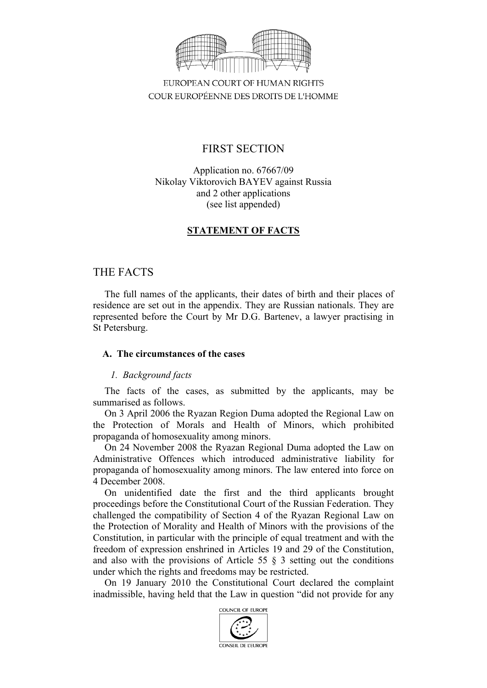

EUROPEAN COURT OF HUMAN RIGHTS COUR EUROPÉENNE DES DROITS DE L'HOMME

# FIRST SECTION

## Application no. 67667/09 Nikolay Viktorovich BAYEV against Russia and 2 other applications (see list appended)

## **STATEMENT OF FACTS**

## THE FACTS

The full names of the applicants, their dates of birth and their places of residence are set out in the appendix. They are Russian nationals. They are represented before the Court by Mr D.G. Bartenev, a lawyer practising in St Petersburg.

### **A. The circumstances of the cases**

### *1. Background facts*

The facts of the cases, as submitted by the applicants, may be summarised as follows.

On 3 April 2006 the Ryazan Region Duma adopted the Regional Law on the Protection of Morals and Health of Minors, which prohibited propaganda of homosexuality among minors.

On 24 November 2008 the Ryazan Regional Duma adopted the Law on Administrative Offences which introduced administrative liability for propaganda of homosexuality among minors. The law entered into force on 4 December 2008.

On unidentified date the first and the third applicants brought proceedings before the Constitutional Court of the Russian Federation. They challenged the compatibility of Section 4 of the Ryazan Regional Law on the Protection of Morality and Health of Minors with the provisions of the Constitution, in particular with the principle of equal treatment and with the freedom of expression enshrined in Articles 19 and 29 of the Constitution, and also with the provisions of Article  $55 \S$  3 setting out the conditions under which the rights and freedoms may be restricted.

On 19 January 2010 the Constitutional Court declared the complaint inadmissible, having held that the Law in question "did not provide for any

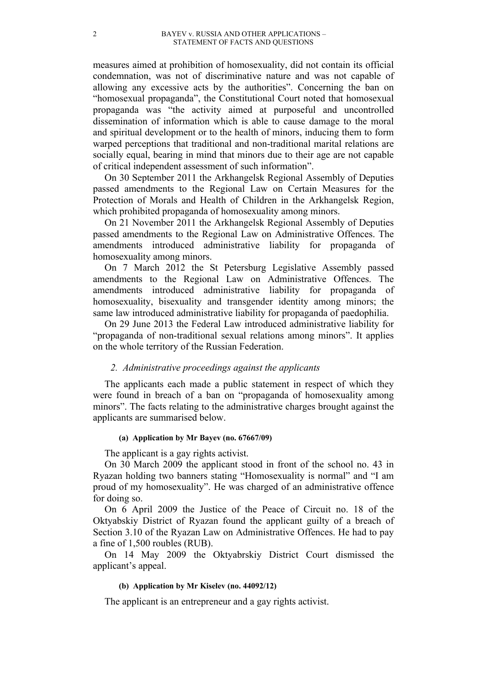measures aimed at prohibition of homosexuality, did not contain its official condemnation, was not of discriminative nature and was not capable of allowing any excessive acts by the authorities". Concerning the ban on "homosexual propaganda", the Constitutional Court noted that homosexual propaganda was "the activity aimed at purposeful and uncontrolled dissemination of information which is able to cause damage to the moral and spiritual development or to the health of minors, inducing them to form warped perceptions that traditional and non-traditional marital relations are socially equal, bearing in mind that minors due to their age are not capable of critical independent assessment of such information".

On 30 September 2011 the Arkhangelsk Regional Assembly of Deputies passed amendments to the Regional Law on Certain Measures for the Protection of Morals and Health of Children in the Arkhangelsk Region, which prohibited propaganda of homosexuality among minors.

On 21 November 2011 the Arkhangelsk Regional Assembly of Deputies passed amendments to the Regional Law on Administrative Offences. The amendments introduced administrative liability for propaganda of homosexuality among minors.

On 7 March 2012 the St Petersburg Legislative Assembly passed amendments to the Regional Law on Administrative Offences. The amendments introduced administrative liability for propaganda of homosexuality, bisexuality and transgender identity among minors; the same law introduced administrative liability for propaganda of paedophilia.

On 29 June 2013 the Federal Law introduced administrative liability for "propaganda of non-traditional sexual relations among minors". It applies on the whole territory of the Russian Federation.

#### *2. Administrative proceedings against the applicants*

The applicants each made a public statement in respect of which they were found in breach of a ban on "propaganda of homosexuality among minors". The facts relating to the administrative charges brought against the applicants are summarised below.

#### **(a) Application by Mr Bayev (no. 67667/09)**

The applicant is a gay rights activist.

On 30 March 2009 the applicant stood in front of the school no. 43 in Ryazan holding two banners stating "Homosexuality is normal" and "I am proud of my homosexuality". He was charged of an administrative offence for doing so.

On 6 April 2009 the Justice of the Peace of Circuit no. 18 of the Oktyabskiy District of Ryazan found the applicant guilty of a breach of Section 3.10 of the Ryazan Law on Administrative Offences. He had to pay a fine of 1,500 roubles (RUB).

On 14 May 2009 the Oktyabrskiy District Court dismissed the applicant's appeal.

#### **(b) Application by Mr Kiselev (no. 44092/12)**

The applicant is an entrepreneur and a gay rights activist.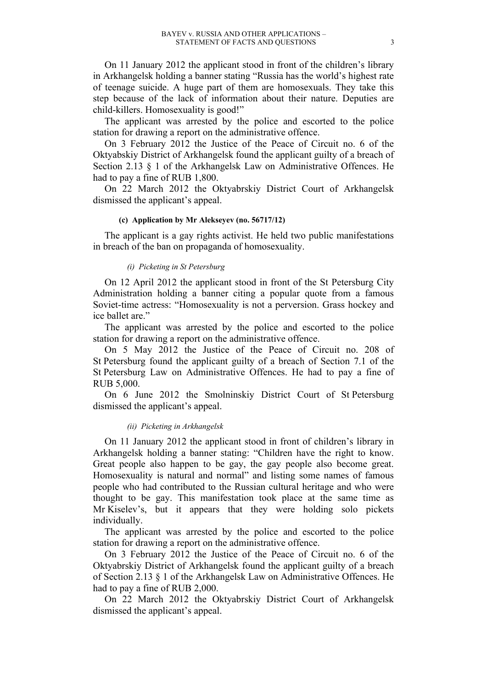On 11 January 2012 the applicant stood in front of the children's library in Arkhangelsk holding a banner stating "Russia has the world's highest rate of teenage suicide. A huge part of them are homosexuals. They take this step because of the lack of information about their nature. Deputies are child-killers. Homosexuality is good!"

The applicant was arrested by the police and escorted to the police station for drawing a report on the administrative offence.

On 3 February 2012 the Justice of the Peace of Circuit no. 6 of the Oktyabskiy District of Arkhangelsk found the applicant guilty of a breach of Section 2.13 § 1 of the Arkhangelsk Law on Administrative Offences. He had to pay a fine of RUB 1,800.

On 22 March 2012 the Oktyabrskiy District Court of Arkhangelsk dismissed the applicant's appeal.

#### **(c) Application by Mr Alekseyev (no. 56717/12)**

The applicant is a gay rights activist. He held two public manifestations in breach of the ban on propaganda of homosexuality.

### *(i) Picketing in St Petersburg*

On 12 April 2012 the applicant stood in front of the St Petersburg City Administration holding a banner citing a popular quote from a famous Soviet-time actress: "Homosexuality is not a perversion. Grass hockey and ice ballet are."

The applicant was arrested by the police and escorted to the police station for drawing a report on the administrative offence.

On 5 May 2012 the Justice of the Peace of Circuit no. 208 of St Petersburg found the applicant guilty of a breach of Section 7.1 of the St Petersburg Law on Administrative Offences. He had to pay a fine of RUB 5,000.

On 6 June 2012 the Smolninskiy District Court of St Petersburg dismissed the applicant's appeal.

#### *(ii) Picketing in Arkhangelsk*

On 11 January 2012 the applicant stood in front of children's library in Arkhangelsk holding a banner stating: "Children have the right to know. Great people also happen to be gay, the gay people also become great. Homosexuality is natural and normal" and listing some names of famous people who had contributed to the Russian cultural heritage and who were thought to be gay. This manifestation took place at the same time as Mr Kiselev's, but it appears that they were holding solo pickets individually.

The applicant was arrested by the police and escorted to the police station for drawing a report on the administrative offence.

On 3 February 2012 the Justice of the Peace of Circuit no. 6 of the Oktyabrskiy District of Arkhangelsk found the applicant guilty of a breach of Section 2.13 § 1 of the Arkhangelsk Law on Administrative Offences. He had to pay a fine of RUB 2,000.

On 22 March 2012 the Oktyabrskiy District Court of Arkhangelsk dismissed the applicant's appeal.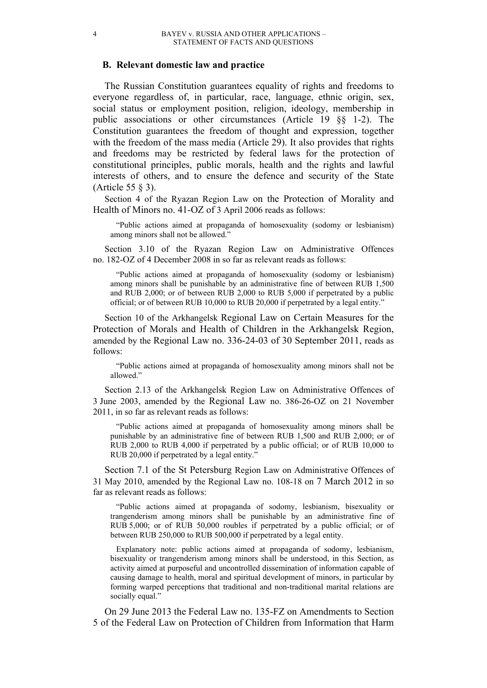#### **B. Relevant domestic law and practice**

The Russian Constitution guarantees equality of rights and freedoms to everyone regardless of, in particular, race, language, ethnic origin, sex, social status or employment position, religion, ideology, membership in public associations or other circumstances (Article 19 §§ 1-2). The Constitution guarantees the freedom of thought and expression, together with the freedom of the mass media (Article 29). It also provides that rights and freedoms may be restricted by federal laws for the protection of constitutional principles, public morals, health and the rights and lawful interests of others, and to ensure the defence and security of the State (Article 55 § 3).

Section 4 of the Ryazan Region Law on the Protection of Morality and Health of Minors no. 41-OZ of 3 April 2006 reads as follows:

"Public actions aimed at propaganda of homosexuality (sodomy or lesbianism) among minors shall not be allowed."

Section 3.10 of the Ryazan Region Law on Administrative Offences no. 182-ОZ of 4 December 2008 in so far as relevant reads as follows:

"Public actions aimed at propaganda of homosexuality (sodomy or lesbianism) among minors shall be punishable by an administrative fine of between RUB 1,500 and RUB 2,000; or of between RUB 2,000 to RUB 5,000 if perpetrated by a public official; or of between RUB 10,000 to RUB 20,000 if perpetrated by a legal entity."

Section 10 of the Arkhangelsk Regional Law on Certain Measures for the Protection of Morals and Health of Children in the Arkhangelsk Region, amended by the Regional Law no. 336-24-03 of 30 September 2011, reads as follows:

"Public actions aimed at propaganda of homosexuality among minors shall not be allowed."

Section 2.13 of the Arkhangelsk Region Law on Administrative Offences of 3 June 2003, amended by the Regional Law no. 386-26-ОZ on 21 November 2011, in so far as relevant reads as follows:

"Public actions aimed at propaganda of homosexuality among minors shall be punishable by an administrative fine of between RUB 1,500 and RUB 2,000; or of RUB 2,000 to RUB 4,000 if perpetrated by a public official; or of RUB 10,000 to RUB 20,000 if perpetrated by a legal entity."

Section 7.1 of the St Petersburg Region Law on Administrative Offences of 31 May 2010, amended by the Regional Law no. 108-18 on 7 March 2012 in so far as relevant reads as follows:

"Public actions aimed at propaganda of sodomy, lesbianism, bisexuality or trangenderism among minors shall be punishable by an administrative fine of RUB 5,000; or of RUB 50,000 roubles if perpetrated by a public official; or of between RUB 250,000 to RUB 500,000 if perpetrated by a legal entity.

Explanatory note: public actions aimed at propaganda of sodomy, lesbianism, bisexuality or trangenderism among minors shall be understood, in this Section, as activity aimed at purposeful and uncontrolled dissemination of information capable of causing damage to health, moral and spiritual development of minors, in particular by forming warped perceptions that traditional and non-traditional marital relations are socially equal."

On 29 June 2013 the Federal Law no. 135-FZ on Amendments to Section 5 of the Federal Law on Protection of Children from Information that Harm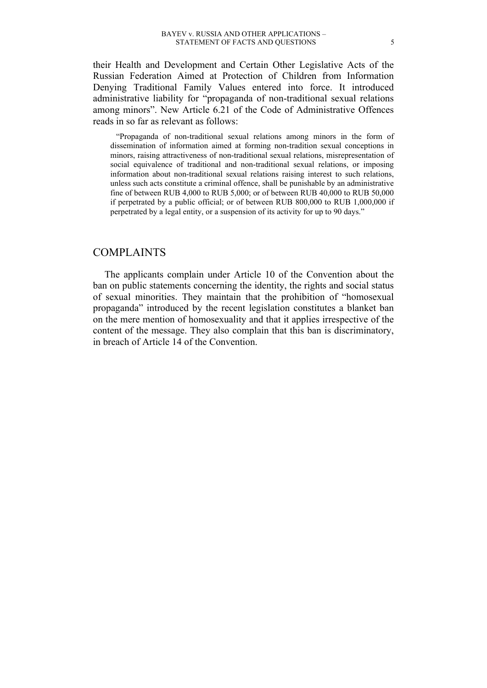their Health and Development and Certain Other Legislative Acts of the Russian Federation Aimed at Protection of Children from Information Denying Traditional Family Values entered into force. It introduced administrative liability for "propaganda of non-traditional sexual relations among minors". New Article 6.21 of the Code of Administrative Offences reads in so far as relevant as follows:

"Propaganda of non-traditional sexual relations among minors in the form of dissemination of information aimed at forming non-tradition sexual conceptions in minors, raising attractiveness of non-traditional sexual relations, misrepresentation of social equivalence of traditional and non-traditional sexual relations, or imposing information about non-traditional sexual relations raising interest to such relations, unless such acts constitute a criminal offence, shall be punishable by an administrative fine of between RUB 4,000 to RUB 5,000; or of between RUB 40,000 to RUB 50,000 if perpetrated by a public official; or of between RUB 800,000 to RUB 1,000,000 if perpetrated by a legal entity, or a suspension of its activity for up to 90 days."

### COMPLAINTS

The applicants complain under Article 10 of the Convention about the ban on public statements concerning the identity, the rights and social status of sexual minorities. They maintain that the prohibition of "homosexual propaganda" introduced by the recent legislation constitutes a blanket ban on the mere mention of homosexuality and that it applies irrespective of the content of the message. They also complain that this ban is discriminatory, in breach of Article 14 of the Convention.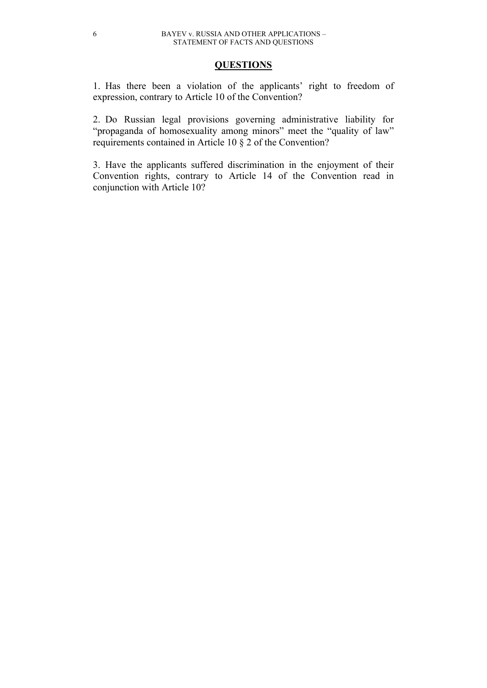### **QUESTIONS**

1. Has there been a violation of the applicants' right to freedom of expression, contrary to Article 10 of the Convention?

2. Do Russian legal provisions governing administrative liability for "propaganda of homosexuality among minors" meet the "quality of law" requirements contained in Article 10 § 2 of the Convention?

3. Have the applicants suffered discrimination in the enjoyment of their Convention rights, contrary to Article 14 of the Convention read in conjunction with Article 10?